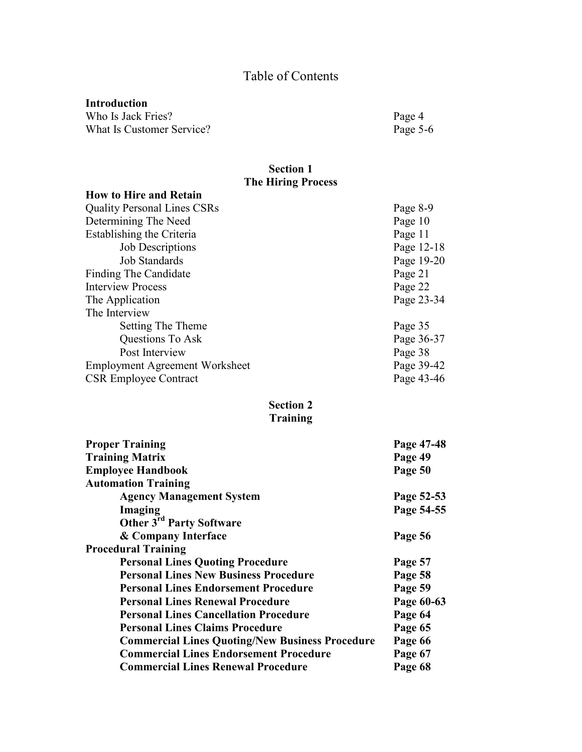# Table of Contents

## **Introduction**

Who Is Jack Fries?<br>
What Is Customer Service?<br>
Page 5-6 What Is Customer Service?

#### **Section 1 The Hiring Process**

| <b>How to Hire and Retain</b>         |            |
|---------------------------------------|------------|
| <b>Quality Personal Lines CSRs</b>    | Page 8-9   |
| Determining The Need                  | Page 10    |
| Establishing the Criteria             | Page 11    |
| <b>Job Descriptions</b>               | Page 12-18 |
| <b>Job Standards</b>                  | Page 19-20 |
| Finding The Candidate                 | Page 21    |
| <b>Interview Process</b>              | Page 22    |
| The Application                       | Page 23-34 |
| The Interview                         |            |
| Setting The Theme                     | Page 35    |
| Questions To Ask                      | Page 36-37 |
| Post Interview                        | Page 38    |
| <b>Employment Agreement Worksheet</b> | Page 39-42 |
| <b>CSR Employee Contract</b>          | Page 43-46 |

## **Section 2 Training**

| <b>Proper Training</b>                                 | Page 47-48 |
|--------------------------------------------------------|------------|
| <b>Training Matrix</b>                                 | Page 49    |
| <b>Employee Handbook</b>                               | Page 50    |
| <b>Automation Training</b>                             |            |
| <b>Agency Management System</b>                        | Page 52-53 |
| Imaging                                                | Page 54-55 |
| Other 3 <sup>rd</sup> Party Software                   |            |
| & Company Interface                                    | Page 56    |
| <b>Procedural Training</b>                             |            |
| <b>Personal Lines Quoting Procedure</b>                | Page 57    |
| <b>Personal Lines New Business Procedure</b>           | Page 58    |
| <b>Personal Lines Endorsement Procedure</b>            | Page 59    |
| <b>Personal Lines Renewal Procedure</b>                | Page 60-63 |
| <b>Personal Lines Cancellation Procedure</b>           | Page 64    |
| <b>Personal Lines Claims Procedure</b>                 | Page 65    |
| <b>Commercial Lines Quoting/New Business Procedure</b> | Page 66    |
| <b>Commercial Lines Endorsement Procedure</b>          | Page 67    |
| <b>Commercial Lines Renewal Procedure</b>              | Page 68    |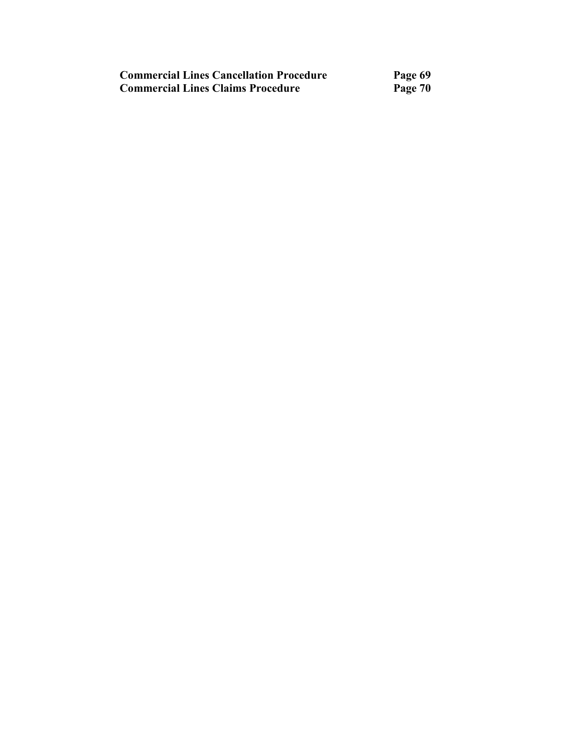| <b>Commercial Lines Cancellation Procedure</b> | Page 69 |
|------------------------------------------------|---------|
| <b>Commercial Lines Claims Procedure</b>       | Page 70 |